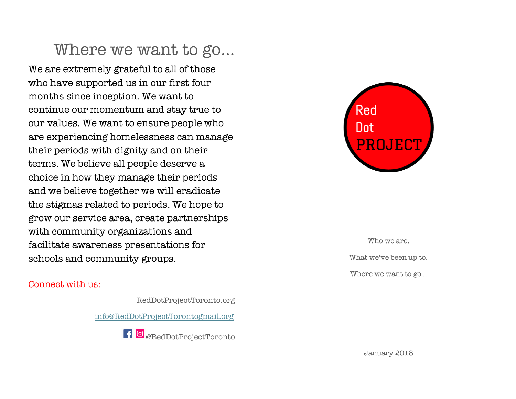## Where we want to go…

We are extremely grateful to all of those who have supported us in our first four months since inception. We want to continue our momentum and stay true to our values. We want to ensure people who are experiencing homelessness can manage their periods with dignity and on their terms. We believe all people deserve a choice in how they manage their periods and we believe together we will eradicate the stigmas related to periods. We hope to grow our service area, create partnerships with community organizations and facilitate awareness presentations for schools and community groups.

#### Connect with us:

RedDotProjectToronto.org info@RedDotProjectTorontogmail.org

 $\blacksquare$  @RedDotProjectToronto



Who we are. What we've been up to. Where we want to go…

January 2018